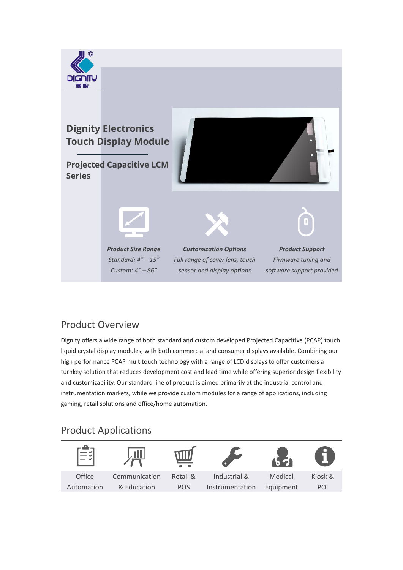

### Product Overview

Dignity offers a wide range of both standard and custom developed Projected Capacitive (PCAP) touch liquid crystal display modules, with both commercial and consumer displays available. Combining our high performance PCAP multitouch technology with a range of LCD displays to offer customers a turnkey solution that reduces development cost and lead time while offering superior design flexibility and customizability. Our standard line of product is aimed primarily at the industrial control and instrumentation markets, while we provide custom modules for a range of applications, including gaming, retail solutions and office/home automation.

## Product Applications

|            |               |            |                 |           | □       |
|------------|---------------|------------|-----------------|-----------|---------|
| Office     | Communication | Retail &   | Industrial &    | Medical   | Kiosk & |
| Automation | & Education   | <b>POS</b> | Instrumentation | Equipment | POI     |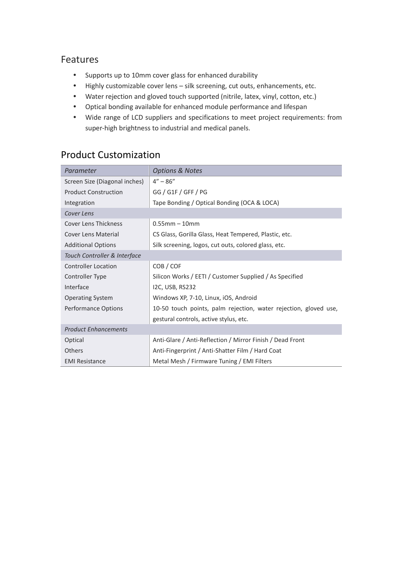#### Features

- Supports up to 10mm cover glass for enhanced durability
- Highly customizable cover lens silk screening, cut outs, enhancements, etc.
- Water rejection and gloved touch supported (nitrile, latex, vinyl, cotton, etc.)
- Optical bonding available for enhanced module performance and lifespan
- Wide range of LCD suppliers and specifications to meet project requirements: from super-high brightness to industrial and medical panels.

# Product Customization

| Parameter                     | <b>Options &amp; Notes</b>                                       |  |  |  |
|-------------------------------|------------------------------------------------------------------|--|--|--|
| Screen Size (Diagonal inches) | $4'' - 86''$                                                     |  |  |  |
| <b>Product Construction</b>   | GG / G1F / GFF / PG                                              |  |  |  |
| Integration                   | Tape Bonding / Optical Bonding (OCA & LOCA)                      |  |  |  |
| Cover Lens                    |                                                                  |  |  |  |
| <b>Cover Lens Thickness</b>   | $0.55$ mm $-10$ mm                                               |  |  |  |
| <b>Cover Lens Material</b>    | CS Glass, Gorilla Glass, Heat Tempered, Plastic, etc.            |  |  |  |
| <b>Additional Options</b>     | Silk screening, logos, cut outs, colored glass, etc.             |  |  |  |
| Touch Controller & Interface  |                                                                  |  |  |  |
| <b>Controller Location</b>    | COB / COF                                                        |  |  |  |
| Controller Type               | Silicon Works / EETI / Customer Supplied / As Specified          |  |  |  |
| Interface                     | I2C, USB, RS232                                                  |  |  |  |
| <b>Operating System</b>       | Windows XP, 7-10, Linux, iOS, Android                            |  |  |  |
| <b>Performance Options</b>    | 10-50 touch points, palm rejection, water rejection, gloved use, |  |  |  |
|                               | gestural controls, active stylus, etc.                           |  |  |  |
| <b>Product Enhancements</b>   |                                                                  |  |  |  |
| Optical                       | Anti-Glare / Anti-Reflection / Mirror Finish / Dead Front        |  |  |  |
| <b>Others</b>                 | Anti-Fingerprint / Anti-Shatter Film / Hard Coat                 |  |  |  |
| <b>EMI Resistance</b>         | Metal Mesh / Firmware Tuning / EMI Filters                       |  |  |  |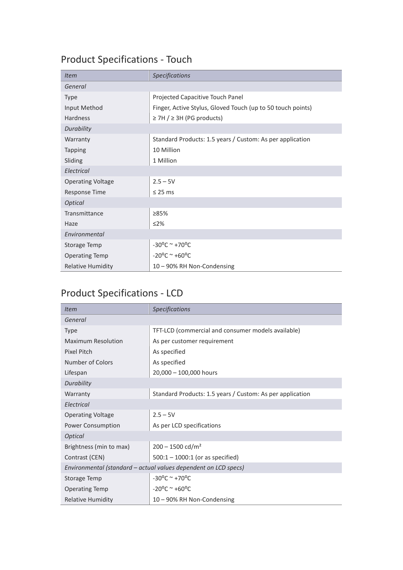# Product Specifications - Touch

| <b>Item</b>              | <b>Specifications</b>                                       |  |  |
|--------------------------|-------------------------------------------------------------|--|--|
| General                  |                                                             |  |  |
| <b>Type</b>              | Projected Capacitive Touch Panel                            |  |  |
| Input Method             | Finger, Active Stylus, Gloved Touch (up to 50 touch points) |  |  |
| Hardness                 | $\geq$ 7H / $\geq$ 3H (PG products)                         |  |  |
| Durability               |                                                             |  |  |
| Warranty                 | Standard Products: 1.5 years / Custom: As per application   |  |  |
| <b>Tapping</b>           | 10 Million                                                  |  |  |
| Sliding                  | 1 Million                                                   |  |  |
| Electrical               |                                                             |  |  |
| <b>Operating Voltage</b> | $2.5 - 5V$                                                  |  |  |
| <b>Response Time</b>     | $\leq$ 25 ms                                                |  |  |
| Optical                  |                                                             |  |  |
| Transmittance            | 285%                                                        |  |  |
| Haze                     | $\leq$ 2%                                                   |  |  |
| Environmental            |                                                             |  |  |
| <b>Storage Temp</b>      | $-30^{\circ}$ C ~ +70°C                                     |  |  |
| <b>Operating Temp</b>    | $-20^{\circ}$ C ~ +60 $^{\circ}$ C                          |  |  |
| <b>Relative Humidity</b> | 10 - 90% RH Non-Condensing                                  |  |  |

# Product Specifications - LCD

| <i>Item</i>                                                     | <b>Specifications</b>                                     |  |  |  |
|-----------------------------------------------------------------|-----------------------------------------------------------|--|--|--|
| General                                                         |                                                           |  |  |  |
| <b>Type</b>                                                     | TFT-LCD (commercial and consumer models available)        |  |  |  |
| <b>Maximum Resolution</b>                                       | As per customer requirement                               |  |  |  |
| Pixel Pitch                                                     | As specified                                              |  |  |  |
| Number of Colors                                                | As specified                                              |  |  |  |
| Lifespan                                                        | 20,000 - 100,000 hours                                    |  |  |  |
| Durability                                                      |                                                           |  |  |  |
| Warranty                                                        | Standard Products: 1.5 years / Custom: As per application |  |  |  |
| Electrical                                                      |                                                           |  |  |  |
| <b>Operating Voltage</b>                                        | $2.5 - 5V$                                                |  |  |  |
| Power Consumption                                               | As per LCD specifications                                 |  |  |  |
| Optical                                                         |                                                           |  |  |  |
| Brightness (min to max)                                         | $200 - 1500$ cd/m <sup>2</sup>                            |  |  |  |
| Contrast (CEN)                                                  | $500:1 - 1000:1$ (or as specified)                        |  |  |  |
| Environmental (standard - actual values dependent on LCD specs) |                                                           |  |  |  |
| <b>Storage Temp</b>                                             | $-30^{\circ}$ C ~ +70°C                                   |  |  |  |
| <b>Operating Temp</b>                                           | $-20^{\circ}$ C ~ +60 $^{\circ}$ C                        |  |  |  |
| <b>Relative Humidity</b>                                        | 10 - 90% RH Non-Condensing                                |  |  |  |